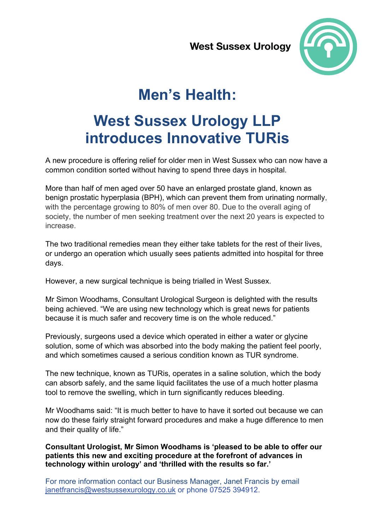

# **Men's Health:**

# **West Sussex Urology LLP** introduces Innovative TURis

A new procedure is offering relief for older men in West Sussex who can now have a common condition sorted without having to spend three days in hospital.

More than half of men aged over 50 have an enlarged prostate gland, known as benign prostatic hyperplasia (BPH), which can prevent them from urinating normally, with the percentage growing to 80% of men over 80. Due to the overall aging of society, the number of men seeking treatment over the next 20 years is expected to increase

The two traditional remedies mean they either take tablets for the rest of their lives. or undergo an operation which usually sees patients admitted into hospital for three days.

However, a new surgical technique is being trialled in West Sussex.

Mr Simon Woodhams, Consultant Urological Surgeon is delighted with the results being achieved. "We are using new technology which is great news for patients because it is much safer and recovery time is on the whole reduced."

Previously, surgeons used a device which operated in either a water or glycine solution, some of which was absorbed into the body making the patient feel poorly, and which sometimes caused a serious condition known as TUR syndrome.

The new technique, known as TURis, operates in a saline solution, which the body can absorb safely, and the same liquid facilitates the use of a much hotter plasma tool to remove the swelling, which in turn significantly reduces bleeding.

Mr Woodhams said: "It is much better to have to have it sorted out because we can now do these fairly straight forward procedures and make a huge difference to men and their quality of life."

Consultant Urologist, Mr Simon Woodhams is 'pleased to be able to offer our patients this new and exciting procedure at the forefront of advances in technology within urology' and 'thrilled with the results so far.'

For more information contact our Business Manager, Janet Francis by email janetfrancis@westsussexurology.co.uk or phone 07525 394912.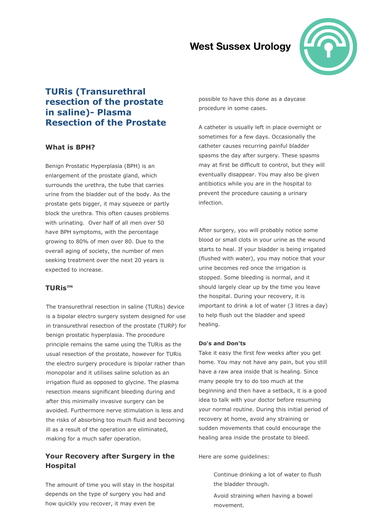

## **TURis (Transurethral** resection of the prostate in saline) - Plasma **Resection of the Prostate**

### **What is BPH?**

Benign Prostatic Hyperplasia (BPH) is an enlargement of the prostate gland, which surrounds the urethra, the tube that carries urine from the bladder out of the body. As the prostate gets bigger, it may squeeze or partly block the urethra. This often causes problems with urinating. Over half of all men over 50 have BPH symptoms, with the percentage growing to 80% of men over 80. Due to the overall aging of society, the number of men seeking treatment over the next 20 years is expected to increase.

### **TURis™**

The transurethral resection in saline (TURis) device is a bipolar electro surgery system designed for use in transurethral resection of the prostate (TURP) for benign prostatic hyperplasia. The procedure principle remains the same using the TURis as the usual resection of the prostate, however for TURis the electro surgery procedure is bipolar rather than monopolar and it utilises saline solution as an irrigation fluid as opposed to glycine. The plasma resection means significant bleeding during and after this minimally invasive surgery can be avoided. Furthermore nerve stimulation is less and the risks of absorbing too much fluid and becoming ill as a result of the operation are eliminated, making for a much safer operation.

## Your Recovery after Surgery in the **Hospital**

The amount of time you will stay in the hospital depends on the type of surgery you had and how quickly you recover, it may even be

possible to have this done as a daycase procedure in some cases.

A catheter is usually left in place overnight or sometimes for a few days, Occasionally the catheter causes recurring painful bladder spasms the day after surgery. These spasms may at first be difficult to control, but they will eventually disappear. You may also be given antibiotics while you are in the hospital to prevent the procedure causing a urinary infection.

After surgery, you will probably notice some blood or small clots in your urine as the wound starts to heal. If your bladder is being irrigated (flushed with water), you may notice that your urine becomes red once the irrigation is stopped. Some bleeding is normal, and it should largely clear up by the time you leave the hospital. During your recovery, it is important to drink a lot of water (3 litres a day) to help flush out the bladder and speed healing.

#### **Do's and Don'ts**

Take it easy the first few weeks after you get home. You may not have any pain, but you still have a raw area inside that is healing. Since many people try to do too much at the beginning and then have a setback, it is a good idea to talk with your doctor before resuming your normal routine. During this initial period of recovery at home, avoid any straining or sudden movements that could encourage the healing area inside the prostate to bleed.

Here are some guidelines:

Continue drinking a lot of water to flush the bladder through.

Avoid straining when having a bowel movement.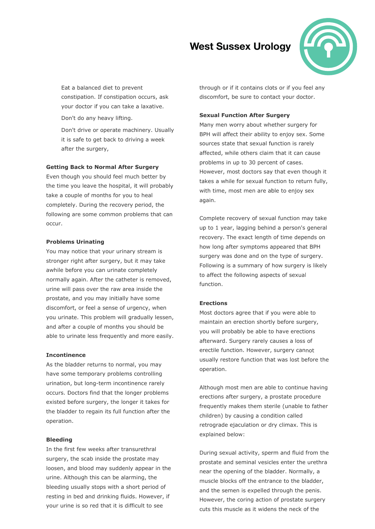

Eat a balanced diet to prevent con nstipation. If constipation occurs, ask your doctor if you can take a laxative.

Don't do any heavy lifting.

Don't drive or operate machinery. Usually it is safe to get back to driving a week after the surgery,

#### **Getting Back to No ormal After S Surgery**

Even though you should feel much better by the time you leave the hospital, it will probably take a couple of months for you to heal completely. During the recovery period, the following are some common problems that can occur.

#### **Problems Urinating**

You may notice that your urinary stream is stronger right after surgery, but it may take awhile before you can urinate completely normally again. After the catheter is removed, urine will pass over the raw area inside the prostate, and you may initially have some discomfort, or feel a sense of urgency, when you urinate. This problem will gradually lessen and afte r a couple of months you should be able to urinate less frequently and more easily. n,<br>n, eth

#### **Incontin nence**

As the bladder returns to normal, you may have some temporary problems controlling urination, but long-term incontinence rarely occurs. D Doctors find t that the long er problems existed before surgery, the longer it takes for the bladder to regain its full function after the operatio n.

#### **Bleedin g**

In the first few weeks after transurethral surgery, the scab inside the prostate may loosen, and blood may suddenly appear in the urine. Although this can be alarming, the bleeding usually stops with a short period of resting in bed and drinking fluids. However, if your urine is so red that it is difficult to see

discomfort, be sure to contact your doctor. hrough or if it contains clots or if you feel any

#### **Sexual Function After Surgery**

Many men worry about whether surgery for BPH will affect their ability to enjoy sex. Some sources state that sexual function is rarely affected, while others claim that it can cause problems in up to 30 percent of cases. However, most doctors say that even though it takes a while for sexual function to return fully, with time, most men are able to enjoy sex ag gain.

Complete recovery of sexual function may take up to 1 year, lagging behind a person's general recovery. The exact length of time depends on how long after symptoms appeared that BPH surgery was done and on the type of surgery. Following is a summary of how surgery is likely to affect the following aspects of sexual fu unction. to affect the following aspects of sexual<br>function.<br>**Erections**<br>Most doctors agree that if you were able to

#### **Er rections**

maintain an erection shortly before surgery, you will probably be able to have erections afterward. Surgery rarely causes a loss of erectile function. However, surgery cannot usually restore function that was lost before the op peration.

Although most men are able to continue having erections after surgery, a prostate procedure frequently makes them sterile (unable to father children) by causing a condition called retrograde ejaculation or dry climax. This is explained below:

During sexual activity, sperm and fluid from the pr rostate and s seminal vesic les enter the urethra near the opening of the bladder. Normally, a muscle blocks off the entrance to the bladder, and the semen is expelled through the penis. However, the coring action of prostate surgery cuts this muscle as it widens the neck of the